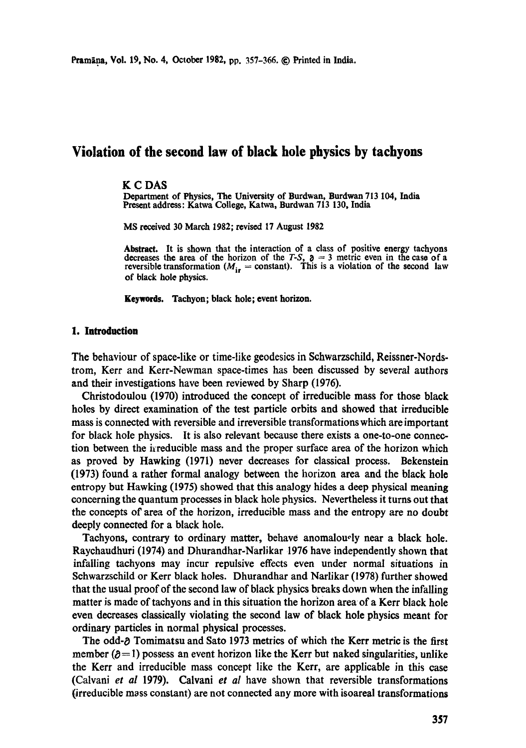# **Violation of the second law of black hole physics by tachyons**

#### **K C DAS**

Department of **Physics, The** University of Burdwan, Burdwan 713 104, India Present address: Katwa College, Katwa, Burdwan 713 130, India

MS received 30 March 1982; revised 17 August 1982

**Abstract. It is** shown that the interaction of a class of positive energy tachyons decreases the area of the horizon of the  $T-S$ ,  $\mathfrak{d} = 3$  metric even in the case of a reversible transformation ( $M_{\text{ir}}$  = constant). This is a violation of the second law of black hole physics.

**Keywords.** Tachyon; black hole; event horizon.

#### **1. Introduction**

The behaviour of space-like or time-like geodesics in Schwarzsehild, Reissner-Nords. trom, Kerr and Kerr-Newman space-times has been discussed by several authors and their investigations have been reviewed by Sharp (1976).

Christodoulou (1970) introduced the concept of irreducible mass for those black holes by direct examination of the test particle orbits and showed that irreducible mass is connected with reversible and irreversible transformations which are important for black hole physics. It is also relevant because there exists a one-to-one connection between the irreducible mass and the proper surface area of the horizon which as proved by Hawking (1971) never decreases for classical process. Bekenstein (1973) found a rather formal analogy between the horizon area and the black hole entropy but Hawking (1975) showed that this analogy hides a deep physical meaning concerning the quantum processes in black hole physics. Nevertheless it turns out that the concepts of area of the horizon, irreducible mass and the entropy are no doubt deeply connected for a black hole.

Tachyons, contrary to ordinary matter, behave anomalously near a black hole. Raychaudhuri (1974) and Dhurandhar-Narlikar 1976 have independently shown that infalling tachyons may incur repulsive effects even under normal situations in Sehwarzsehild or Kerr black holes. Dhurandhar and Narlikar (1978) further showed that the usual proof of the second law of black physics breaks down when the infalling matter is made of tachyons and in this situation the horizon area of a Kerr black hole even decreases classically violating the second law of black hole physics meant for ordinary particles in normal physical processes.

The odd- $\delta$  Tomimatsu and Sato 1973 metrics of which the Kerr metric is the first member ( $\theta$ =1) possess an event horizon like the Kerr but naked singularities, unlike the Kerr and irreducible mass concept like the Kerr, are applicable in this case (Calvani *et al* 1979). Calvani *et al* have shown that reversible transformations (irreducible mass constant) are not connected any more with isoareal transformations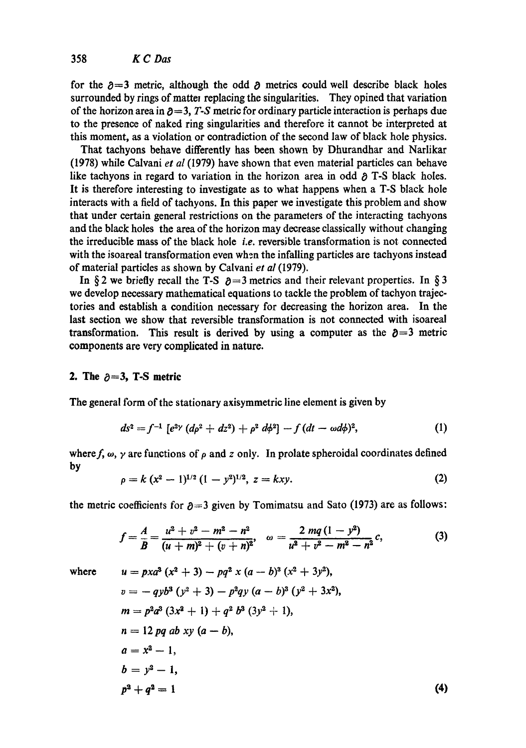for the  $\partial=3$  metric, although the odd  $\partial$  metrics could well describe black holes surrounded by rings of matter replacing the singularities. They opined that variation of the horizon area in  $\partial = 3$ , *T*-S metric for ordinary particle interaction is perhaps due to the presence of naked ring singularities and therefore it cannot be interpreted at this moment, as a violation or contradiction of the second law of black hole physics.

That tachyons behave differently has been shown by Dhurandhar and Narlikar (1978) while Calvani *et al* (1979) have shown that even material particles can behave like tachyons in regard to variation in the horizon area in odd  $\rho$  T-S black holes. It is therefore interesting to investigate as to what happens when a T-S black hole interacts with a field of tachyons. In this paper we investigate this problem and show that under certain general restrictions on the paramelers of the interacting tachyons and the black holes the area of the horizon may decrease classically without changing the irreducible mass of the black hole *i.e.* reversible transformation is not connected with the isoareal transformation even when the infalling particles are tachyons instead of material particles as shown by Calvani *et al* (1979).

In §2 we briefly recall the T-S  $\partial = 3$  metrics and their relevant properties. In § 3 we develop necessary mathematical equations to tackle the problem of tachyon trajectories and establish a condition necessary for decreasing the horizon area. In the last section we show that reversible transformation is not connected with isoareal transformation. This result is derived by using a computer as the  $\delta = 3$  metric components are very complicated in nature.

#### **2.** The  $\partial = 3$ , T-S metric

The general form of the stationary axisymmetric line element is given by

$$
ds^{2}=f^{-1}[e^{2\gamma}(d\rho^{2}+dz^{2})+\rho^{2}d\phi^{2}]-f(dt-\omega d\phi)^{2}, \qquad (1)
$$

where f,  $\omega$ ,  $\gamma$  are functions of  $\rho$  and z only. In prolate spheroidal coordinates defined **by** 

$$
\rho = k (x^2 - 1)^{1/2} (1 - y^2)^{1/2}, \ z = kxy.
$$
 (2)

the metric coefficients for  $\partial = 3$  given by Tomimatsu and Sato (1973) are as follows:

$$
f = \frac{A}{B} = \frac{u^2 + v^2 - m^2 - n^2}{(u + m)^2 + (v + n)^2}, \quad \omega = \frac{2 \, mq \, (1 - y^2)}{u^2 + v^2 - m^2 - n^2} c,
$$
 (3)

where 
$$
u = pxa^{3}(x^{2} + 3) - pq^{2}x (a - b)^{3}(x^{2} + 3y^{2}),
$$
  
\n
$$
v = -qyb^{3}(y^{2} + 3) - p^{2}qy (a - b)^{3}(y^{2} + 3x^{2}),
$$
  
\n
$$
m = p^{2}a^{3}(3x^{2} + 1) + q^{2}b^{3}(3y^{2} + 1),
$$
  
\n
$$
n = 12 pq ab xy (a - b),
$$
  
\n
$$
a = x^{2} - 1,
$$
  
\n
$$
b = y^{2} - 1,
$$
  
\n
$$
p^{3} + q^{2} = 1
$$
\n(4)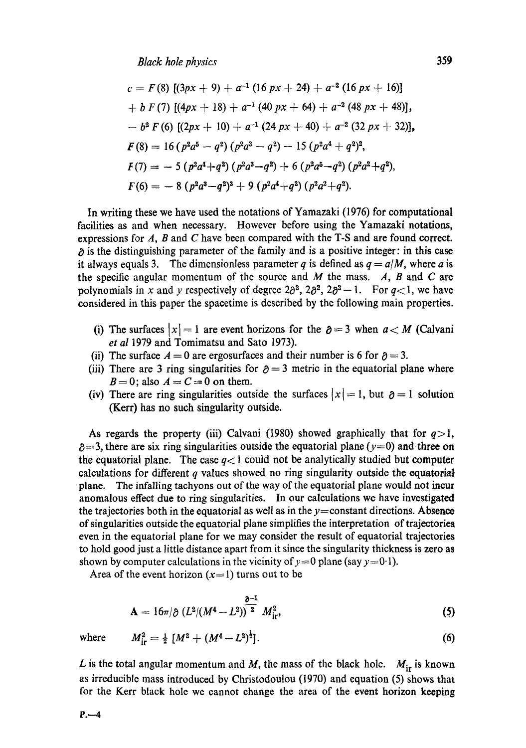$$
c = F(8) [(3px + 9) + a^{-1} (16 px + 24) + a^{-2} (16 px + 16)]
$$
  
+ b F(7) [(4px + 18) + a^{-1} (40 px + 64) + a^{-2} (48 px + 48)],  
- b<sup>2</sup> F(6) [(2px + 10) + a^{-1} (24 px + 40) + a^{-2} (32 px + 32)],  
**F**(8) = 16 (p<sup>2</sup>a<sup>5</sup> - q<sup>2</sup>) (p<sup>2</sup>a<sup>3</sup> - q<sup>2</sup>) - 15 (p<sup>2</sup>a<sup>4</sup> + q<sup>2</sup>)<sup>2</sup>,  
**F**(7) = - 5 (p<sup>2</sup>a<sup>4</sup> + q<sup>2</sup>) (p<sup>2</sup>a<sup>3</sup> - q<sup>2</sup>) + 6 (p<sup>2</sup>a<sup>5</sup> - q<sup>2</sup>) (p<sup>2</sup>a<sup>2</sup> + q<sup>2</sup>),  
**F**(6) = - 8 (p<sup>2</sup>a<sup>3</sup> - q<sup>2</sup>)<sup>3</sup> + 9 (p<sup>2</sup>a<sup>4</sup> + q<sup>2</sup>) (p<sup>2</sup>a<sup>2</sup> + q<sup>2</sup>).

In writing these we have used the notations of Yamazaki (1976) for computational facilities as and when necessary. However before using the Yamazaki notations, expressions for  $A$ ,  $B$  and  $C$  have been compared with the T-S and are found correct.  $\delta$  is the distinguishing parameter of the family and is a positive integer: in this case it always equals 3. The dimensionless parameter q is defined as  $q = a/M$ , where a is the specific angular momentum of the source and  $M$  the mass.  $A$ ,  $B$  and  $C$  are polynomials in x and y respectively of degree  $2\partial^2$ ,  $2\partial^2$ ,  $2\partial^2$  -1. For  $q<1$ , we have considered in this paper the spacetime is described by the following main properties.

- (i) The surfaces  $|x| = 1$  are event horizons for the  $\partial = 3$  when  $a < M$  (Calvani *et al* 1979 and Tomimatsu and Sato 1973).
- (ii) The surface  $A = 0$  are ergosurfaces and their number is 6 for  $\partial = 3$ .
- (iii) There are 3 ring singularities for  $\partial = 3$  metric in the equatorial plane where  $B=0$ ; also  $A=C=0$  on them.
- (iv) There are ring singularities outside the surfaces  $|x| = 1$ , but  $\partial = 1$  solution (Kerr) has no such singularity outside.

As regards the property (iii) Calvani (1980) showed graphically that for  $q>1$ ,  $\beta = 3$ , there are six ring singularities outside the equatorial plane (y=0) and three on the equatorial plane. The case  $q<1$  could not be analytically studied but computer calculations for different  $q$  values showed no ring singularity outside the equatorial plane. The infalling tachyons out of the way of the equatorial plane would not incur anomalous effect due to ring singularities. In our calculations we have investigated the trajectories both in the equatorial as well as in the  $y=constant$  directions. Absence of singularities outside the equatorial plane simplifies the interpretation of trajectories even in the equatorial plane for we may consider the result of equatorial trajectories to hold good just a little distance apart from it since the singularity thickness is zero as shown by computer calculations in the vicinity of  $y=0$  plane (say  $y=0.1$ ).

Area of the event horizon  $(x=1)$  turns out to be

$$
\mathbf{A} = 16\pi/\partial \left(L^2/(M^4 - L^2)\right)^{\frac{\partial - 1}{2}} M_{\rm ir}^2,
$$
\n(5)

where

$$
M_{\rm ir}^2 = \frac{1}{2} \left[ M^2 + (M^4 - L^2)^{\frac{1}{2}} \right]. \tag{6}
$$

L is the total angular momentum and M, the mass of the black hole.  $M_{ir}$  is known as irreducible mass introduced by Christodoulou (1970) and equation (5) shows that for the Kerr black hole we cannot change the area of the event horizon keeping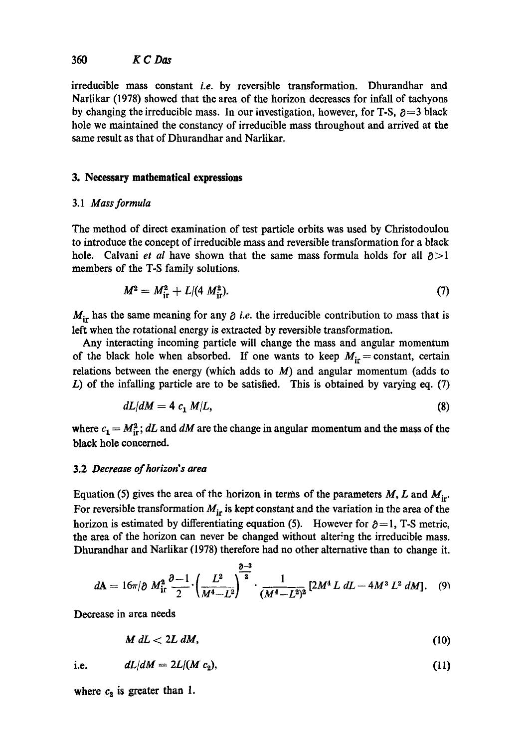# 360 K C Das

irreducible mass constant *i.e.* by reversible transformation. Dhurandhar and Narlikar (1978) showed that the area of the horizon decreases for infall of tachyons by changing the irreducible mass. In our investigation, however, for T-S,  $\partial = 3$  black hole we maintained the constancy of irreducible mass throughout and arrived at the same result as that of Dhurandhar and Narlikar.

## **3. Necessary mathematical expressions**

## 3.1 *Mass formula*

The method of direct examination of test particle orbits was used by Christodoulou to introduce the concept of irreducible mass and reversible transformation for a black hole. Calvani *et al* have shown that the same mass formula holds for all  $\partial$  >1 members of the T-S family solutions.

$$
M^2 = M_{\rm{ir}}^2 + L/(4 M_{\rm{ir}}^2). \tag{7}
$$

 $M_{ir}$  has the same meaning for any  $\partial$  *i.e.* the irreducible contribution to mass that is left when the rotational energy is extracted by reversible transformation.

Any interacting incoming particle will change the mass and angular momentum of the black hole when absorbed. If one wants to keep  $M_{ir} = constant$ , certain relations between the energy (which adds to  $M$ ) and angular momentum (adds to  $L$ ) of the infalling particle are to be satisfied. This is obtained by varying eq. (7)

$$
dL/dM = 4 c_1 M/L, \t\t(8)
$$

where  $c_1 = M_{ir}^2$ ; *dL* and *dM* are the change in angular momentum and the mass of the black hole concerned.

## 3.2 *Decrease of horizon's area*

Equation (5) gives the area of the horizon in terms of the parameters  $M$ ,  $L$  and  $M_{ir}$ . For reversible transformation  $M_{ir}$  is kept constant and the variation in the area of the horizon is estimated by differentiating equation (5). However for  $\partial = 1$ , T-S metric, the area of the horizon can never be changed without altering the irreducible mass. Dhurandhar and Narlikar (1978) therefore had no other alternative than to change it.

$$
d\mathbf{A} = 16\pi/\partial M_{\rm{ir}}^2 \frac{\partial -1}{2} \cdot \left(\frac{L^2}{M^4-L^2}\right)^{\frac{\partial -3}{2}} \cdot \frac{1}{(M^4-L^2)^2} \left[2M^4 L \, dL - 4M^3 L^2 \, dM\right]. \quad (9)
$$

Decrease in area needs

$$
M dL < 2L dM, \tag{10}
$$

i.e. 
$$
dL/dM = 2L/(M c_2), \qquad (11)
$$

where  $c_2$  is greater than 1.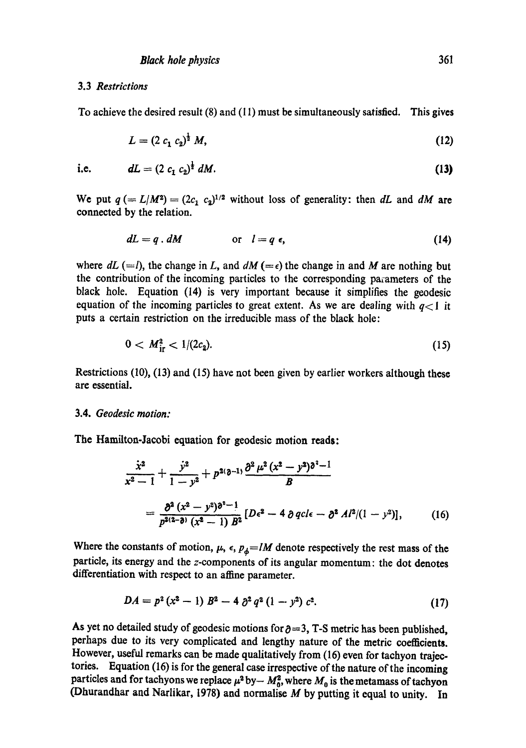#### 3.3 *Restrictions*

To achieve the desired result (8) and (11) must be simultaneously satisfied. This gives

$$
L = (2 c_1 c_2)^{\frac{1}{2}} M, \tag{12}
$$

$$
dL = (2 c_1 c_2)^2 dM. \tag{13}
$$

We put  $q (= L/M^2) = (2c_1 \ c_2)^{1/2}$  without loss of generality: then *dL* and *dM* are connected by the relation.

$$
dL = q \cdot dM \qquad \text{or} \quad l = q \epsilon, \tag{14}
$$

where  $dL$  (=1), the change in L, and  $dM$  (= $\epsilon$ ) the change in and M are nothing but the contribution of the incoming particles to the corresponding parameters of the black hole. Equation (14) is very important because it simplifies the geodesic equation of the incoming particles to great extent. As we are dealing with  $q \lt 1$  it puts a certain restriction on the irreducible mass of the black hole:

$$
0 < M_{\rm ir}^2 < 1/(2c_2). \tag{15}
$$

Restrictions (10), (13) and (15) have not been given by earlier workers although these are essential.

#### 3.4. *Geodesic motion:*

The Hamilton-Jacobi equation for geodesic motion reads:

$$
\frac{\dot{x}^2}{x^2-1} + \frac{\dot{y}^2}{1-y^2} + p^{2(\partial-1)} \frac{\partial^2 \mu^2 (x^2-y^2) \partial^2 - 1}{B}
$$
  
= 
$$
\frac{\partial^2 (x^2-y^2) \partial^2 - 1}{p^{2(2-\partial)} (x^2-1) B^2} [D\epsilon^2 - 4 \partial q c l \epsilon - \partial^2 A l^2 / (1-y^2)],
$$
 (16)

Where the constants of motion,  $\mu$ ,  $\epsilon$ ,  $p_{\phi} = lM$  denote respectively the rest mass of the particle, its energy and the z-components of its angular momentum: the dot denotes differentiation with respect to an affine parameter.

$$
DA = p^2 (x^2 - 1) B^2 - 4 \partial^2 q^2 (1 - y^2) c^2.
$$
 (17)

As yet no detailed study of geodesic motions for  $\partial = 3$ , T-S metric has been published, perhaps due to its very complicated and lengthy nature of the metric coefficients. However, useful remarks can be made qualitatively from (16) even for tachyon trajectories. Equation (16) is for the general case irrespective of the nature of the incoming particles and for tachyons we replace  $\mu^2$  by-  $M_0^2$ , where  $M_0$  is the metamass of tachyon (Dhurandhar and Narlikar, 1978) and normalise  $M$  by putting it equal to unity. In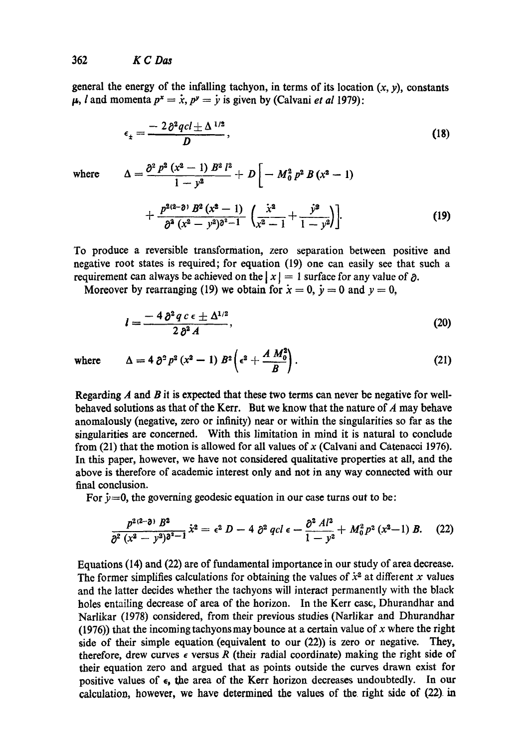general the energy of the infalling tachyon, in terms of its location  $(x, y)$ , constants  $\mu$ , *l* and momenta  $p^x = \dot{x}$ ,  $p^y = \dot{y}$  is given by (Calvani *et al* 1979):

$$
\epsilon_{\pm} = \frac{-2\partial^2 qcl \pm \Delta^{1/2}}{D},\qquad(18)
$$

where  $\Delta = \frac{\partial^2 P^2 (x^2 - 1) B^2 l^2}{r^2} + D \left[ -M_0^2 P^2 B (x^2 - 1) \right]$ 

$$
+\frac{p^{2(2-\delta)} B^2 (x^2-1)}{\partial^2 (x^2-y^2)^{\delta^2-1}} \left(\frac{x^2}{x^2-1}+\frac{y^2}{1-y^2}\right).
$$
 (19)

To produce a reversible transformation, zero separation between positive and negative root states is required; for equation (19) one can easily see that such a requirement can always be achieved on the  $|x| = 1$  surface for any value of  $\partial$ .

Moreover by rearranging (19) we obtain for  $\dot{x} = 0$ ,  $\dot{y} = 0$  and  $y = 0$ ,

 $1 - y^2$  L

$$
l = \frac{-4\,\partial^2\,q\,c\,\epsilon \pm \Delta^{1/2}}{2\,\partial^2\,A},\tag{20}
$$

where  $\Delta = 4 \partial^2 p^2 (x^2 - 1) B^2 \left( \epsilon^2 + \frac{A M_0^2}{B} \right)$ . (21)

Regarding  $A$  and  $B$  it is expected that these two terms can never be negative for wellbehaved solutions as that of the Kerr. But we know that the nature of  $A$  may behave anomalously (negative, zero or infinity) near or within the singularities so far as the singularities are concerned. With this limitation in mind it is natural to conclude from (21) that the motion is allowed for all values of  $x$  (Calvani and Catenacci 1976). In this paper, however, we have not considered qualitative properties at all, and the above is therefore of academic interest only and not in any way connected with our final conclusion.

For  $\dot{y}=0$ , the governing geodesic equation in our case turns out to be:

$$
\frac{p^{2(2-\delta)} B^2}{\partial^2 (x^2 - y^2) \partial^2 - 1} \dot{x}^2 = \epsilon^2 D - 4 \partial^2 qcl \epsilon - \frac{\partial^2 Al^2}{1 - y^2} + M_0^2 p^2 (x^2 - 1) B. \tag{22}
$$

Equations (14) and (22) are of fundamental importance in our study of area decrease. The former simplifies calculations for obtaining the values of  $\dot{x}^2$  at different x values and the latter decides whether the tachyons will interact permanently with the black holes entailing decrease of area of the horizon. In the Kerr case, Dhurandhar and Narlikar (1978) considered, from their previous studies (Narlikar and Dhurandhar  $(1976)$ ) that the incoming tachyons may bounce at a certain value of x where the right side of their simple equation (equivalent to our (22)) is zero or negative. They, therefore, drew curves  $\epsilon$  versus R (their radial coordinate) making the right side of their equation zero and argued that as points outside the curves drawn exist for positive values of  $\epsilon$ , the area of the Kerr horizon decreases undoubtedly. In our calculation, however, we have determined the values of the right side of (22) in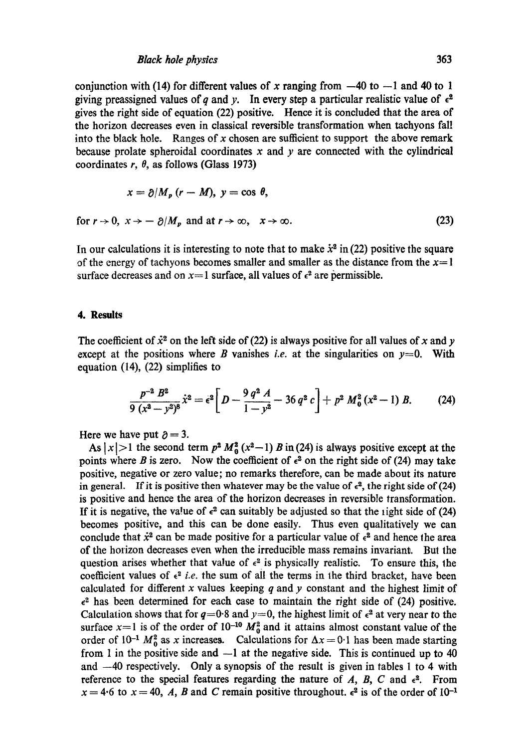conjunction with (14) for different values of x ranging from  $-40$  to  $-1$  and 40 to 1 giving preassigned values of q and y. In every step a particular realistic value of  $\epsilon^2$ gives the right side of equation (22) positive. Hence it is concluded that the area of the horizon decreases even in classical reversible transformation when taehyons fall into the black hole. Ranges of x chosen are sufficient to support the above remark because prolate spheroidal coordinates  $x$  and  $y$  are connected with the cylindrical coordinates  $r$ ,  $\theta$ , as follows (Glass 1973)

$$
x = \partial / M_p (r - M), y = \cos \theta,
$$
  
for  $r \to 0$ ,  $x \to -\partial / M_p$  and at  $r \to \infty$ ,  $x \to \infty$ . (23)

In our calculations it is interesting to note that to make  $\dot{x}^2$  in (22) positive the square of the energy of tachyons becomes smaller and smaller as the distance from the  $x=1$ surface decreases and on  $x=1$  surface, all values of  $\epsilon^2$  are permissible.

#### **4. Results**

The coefficient of  $\dot{x}^2$  on the left side of (22) is always positive for all values of x and y except at the positions where B vanishes *i.e.* at the singularities on  $y=0$ . With equation (14), (22) simplifies to

$$
\frac{p^{-2} B^2}{9 (x^2 - y^2)^8} \dot{x}^2 = \epsilon^2 \left[ D - \frac{9 q^2 A}{1 - y^2} - 36 q^2 c \right] + p^2 M_0^2 (x^2 - 1) B. \tag{24}
$$

Here we have put  $\partial = 3$ .

As  $|x| > 1$  the second term  $p^2 M_0^2 (x^2-1) B$  in (24) is always positive except at the points where B is zero. Now the coefficient of  $\epsilon^2$  on the right side of (24) may take positive, negative or zero value; no remarks therefore, can be made about its nature in general. If it is positive then whatever may be the value of  $\epsilon^2$ , the right side of (24) is positive and hence the area of the horizon decreases in reversible transformation. If it is negative, the value of  $\epsilon^2$  can suitably be adjusted so that the fight side of (24) becomes positive, and this can be done easily. Thus even qualitatively we can conclude that  $\dot{x}^2$  can be made positive for a particular value of  $\epsilon^2$  and hence the area of the horizon decreases even when the irreducible mass remains invariant. But the question arises whether that value of  $\epsilon^2$  is physically realistic. To ensure this, the coefficient values of  $\epsilon^2$  *i.e.* the sum of all the terms in the third bracket, have been calculated for different x values keeping q and y constant and the highest limit of  $\epsilon^2$  has been determined for each case to maintain the right side of (24) positive. Calculation shows that for  $q=0.8$  and  $y=0$ , the highest limit of  $\epsilon^2$  at very near to the surface  $x=1$  is of the order of 10<sup>-10</sup>  $M_0^2$  and it attains almost constant value of the order of  $10^{-1}$   $M_0^2$  as x increases. Calculations for  $\Delta x = 0.1$  has been made starting from 1 in the positive side and  $-1$  at the negative side. This is continued up to 40 and  $-40$  respectively. Only a synopsis of the result is given in tables 1 to 4 with reference to the special features regarding the nature of A, B, C and  $\epsilon^2$ . From  $x = 4.6$  to  $x = 40$ , A, B and C remain positive throughout.  $\epsilon^2$  is of the order of 10<sup>-1</sup>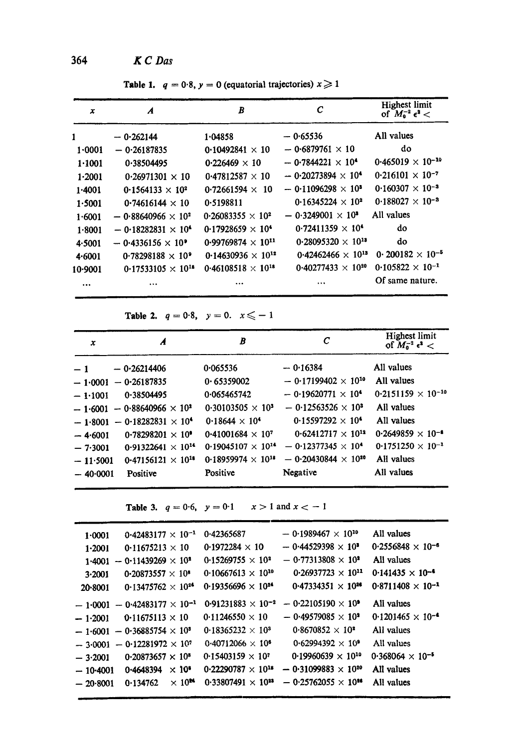364 *g C Das* 

Table 1.  $q = 0.8$ ,  $y = 0$  (equatorial trajectories)  $x \ge 1$ 

| x         | A                                       | B                                    | $\mathcal{C}$                          | <b>Highest limit</b><br>of $M_0^{-2} \epsilon^2$ < |
|-----------|-----------------------------------------|--------------------------------------|----------------------------------------|----------------------------------------------------|
| 1         | $-0.262144$                             | 1.04858                              | $-0.65536$                             | All values                                         |
| 1.0001    | $-0.26187835$                           | 0.10492841 $\times$ 10               | $-0.6879761 \times 10$                 | do                                                 |
| 1.1001    | 0.38504495                              | $0.226469 \times 10$                 | $-$ 0.7844221 $\times$ 10 <sup>4</sup> | $0.465019 \times 10^{-10}$                         |
| 1.2001    | $0.26971301 \times 10$                  | $0.47812587 \times 10$               | $-0.20273894 \times 10^{4}$            | $0.216101 \times 10^{-7}$                          |
| 1.4001    | $0.1564133 \times 10^{2}$               | $0.72661594 \times 10$               | $-0.11096298 \times 10^{3}$            | $0.160307 \times 10^{-3}$                          |
| 1.5001    | $0.74616144 \times 10$                  | 0.5198811                            | $0.16345224 \times 10^{2}$             | $0.188027 \times 10^{-3}$                          |
| 1.6001    | $-0.88640966 \times 10^{2}$             | $0.26083355 \times 10^{2}$           | $-0.3249001 \times 10^{3}$             | All values                                         |
| 1.8001    | $-$ 0.18282831 $\times$ 10 <sup>4</sup> | $0.17928659 \times 10^4$             | $0.72411359 \times 10^{4}$             | do                                                 |
| 4.5001    | $-$ 0.4336156 $\times$ 10 <sup>°</sup>  | $0.99769874 \times 10^{11}$          | $0.28095320 \times 10^{13}$            | do                                                 |
| 4.6001    | $0.78298188 \times 10^{9}$              | 0.14630936 $\times$ 10 <sup>12</sup> | $0.42462466 \times 10^{13}$            | 0.200182 $\times$ 10 <sup>-5</sup>                 |
| $10-9001$ | $0.17533105 \times 10^{18}$             | $0.46108518 \times 10^{18}$          | $0.40277433 \times 10^{20}$            | $0.105822 \times 10^{-1}$                          |
|           | $\cdots$                                |                                      | $\cdots$                               | Of same nature.                                    |

Table 2.  $q = 0.8$ ,  $y = 0$ .  $x \le -1$ 

| x          | A                                    | B                           | С                            | Highest limit<br>of $M_0^{-2} \epsilon^2$ < |
|------------|--------------------------------------|-----------------------------|------------------------------|---------------------------------------------|
| $-1$       | $-0.26214406$                        | 0.065536                    | $-0.16384$                   | All values                                  |
| $-1.0001$  | $-0.26187835$                        | 0.65359002                  | $-0.17199402 \times 10^{10}$ | All values                                  |
| $-1.1001$  | 0.38504495                           | 0.065465742                 | $-0.19620771 \times 10^{4}$  | $0.2151159 \times 10^{-10}$                 |
|            | $-1.6001 - 0.88640966 \times 10^{2}$ | $0.30103505 \times 10^{3}$  | $-0.12563526 \times 10^{3}$  | All values                                  |
|            | $-1.8001 - 0.18282831 \times 10^4$   | $0.18644 \times 10^{4}$     | $0.15597292 \times 10^4$     | All values                                  |
| $-4.6001$  | $0.78298201 \times 10^9$             | $0.41001684 \times 10^{7}$  | $0.62412717 \times 10^{12}$  | $0.2649859 \times 10^{-8}$                  |
| $-7.3001$  | $0.91322641 \times 10^{14}$          | $0.19045107 \times 10^{14}$ | $-0.12377345 \times 10^{4}$  | $0.1751250 \times 10^{-1}$                  |
| $-11.5001$ | $0.47156121 \times 10^{18}$          | $0.18959974 \times 10^{18}$ | $-0.20430844 \times 10^{20}$ | All values                                  |
| $-40.0001$ | Positive                             | Positive                    | Negative                     | All values                                  |

Table 3.  $q = 0.6$ ,  $y = 0.1$   $x > 1$  and  $x < -1$ 

| 1.0001     | $0.42483177 \times 10^{-1}$           |                          | 0.42365687                  | $-0.1989467 \times 10^{10}$  | All values                 |
|------------|---------------------------------------|--------------------------|-----------------------------|------------------------------|----------------------------|
| $1 - 2001$ | 0.11675213 $\times$ 10                |                          | $0.1972284 \times 10$       | $-0.44529398 \times 10^{3}$  | $0.2556848 \times 10^{-6}$ |
|            | $1.4001 - 0.11439269 \times 10^{2}$   |                          | $0.15269755 \times 10^{2}$  | $-0.77313808 \times 10^{2}$  | All values                 |
| 3.2001     | 0.20873557 $\times$ 10 <sup>8</sup>   |                          | $0.10667613 \times 10^{10}$ | $0.26937723 \times 10^{11}$  | $0.141435 \times 10^{-4}$  |
| 20-8001    | 0.13475762 $\times$ 10 <sup>24</sup>  |                          | $0.19356696 \times 10^{24}$ | $0.47334351 \times 10^{26}$  | $0.8711408 \times 10^{-1}$ |
|            | $-1.0001 - 0.42483177 \times 10^{-1}$ |                          | $0.91231883 \times 10^{-2}$ | $-0.22105190 \times 10^9$    | All values                 |
| $-1.2001$  | $0.11675113 \times 10$                |                          | $0.11246550 \times 10$      | $-0.49579085 \times 10^{2}$  | $0.1201465 \times 10^{-4}$ |
|            | $-1.6001 - 0.36885754 \times 10^3$    |                          | $0.18365232 \times 10^3$    | $0.8670852 \times 10^{2}$    | All values                 |
|            | $-3.0001 - 0.12281972 \times 10^{7}$  |                          | $0.40712066 \times 10^{6}$  | $0.62994392 \times 10^{9}$   | All values                 |
| $-3.2001$  | $0.20873657 \times 10^8$              |                          | $0.15403159 \times 10^{7}$  | $0.19960639 \times 10^{10}$  | $0.368064 \times 10^{-5}$  |
| $-10,4001$ | 0.4648394                             | $\times$ 10 <sup>6</sup> | $0.22290787 \times 10^{18}$ | $-0.31099883 \times 10^{20}$ | All values                 |
| $-20.8001$ | 0.134762                              | $\times 10^{\text{M}}$   | $0.33807491 \times 10^{11}$ | $-0.25762055 \times 10^{34}$ | All values                 |
|            |                                       |                          |                             |                              |                            |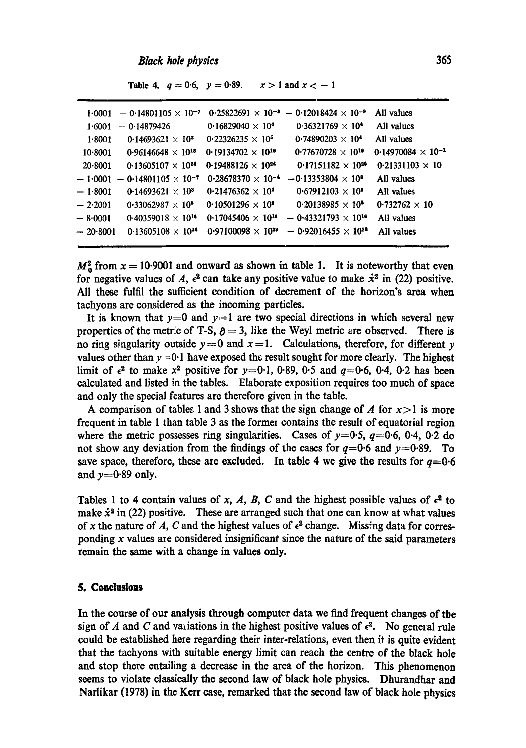#### *Black hole physics*

|            | $1.0001 - 0.14801105 \times 10^{-7}$  |                             | $0.25822691 \times 10^{-8} - 0.12018424 \times 10^{-8}$ | All values                  |
|------------|---------------------------------------|-----------------------------|---------------------------------------------------------|-----------------------------|
| 1.6001     | — 0-14879426                          | $0.16829040 \times 10^4$    | $0.36321769 \times 10^{4}$                              | All values                  |
| 1.8001     | 0.14693621 $\times$ 10 <sup>8</sup>   | $0.22326235 \times 10^{5}$  | $0.74890203 \times 10^{4}$                              | All values                  |
| 10.8001    | $0.96146648 \times 10^{18}$           | $0.19134702 \times 10^{19}$ | $0.77670728 \times 10^{19}$                             | $0.14970084 \times 10^{-1}$ |
| 20.8001    | $0.13605107 \times 10^{24}$           | $0.19488126 \times 10^{24}$ | $0.17151182 \times 10^{25}$                             | $0.21331103 \times 10$      |
|            | $-1.0001 - 0.14801105 \times 10^{-7}$ | $0.28678370 \times 10^{-4}$ | $-0.13353804 \times 10^{8}$                             | All values                  |
| $-1.8001$  | 0.14693621 $\times$ 10 <sup>3</sup>   | $0.21476362 \times 10^4$    | $0.67912103 \times 10^{3}$                              | All values                  |
| $-2.2001$  | $0.33062987 \times 10^{5}$            | $0.10501296 \times 10^{6}$  | $0.20138985 \times 10^5$                                | $0.732762 \times 10$        |
| $-8.0001$  | $0.40359018 \times 10^{16}$           | $0.17045406 \times 10^{16}$ | $-0.43321793 \times 10^{16}$                            | All values                  |
| $-20.8001$ | 0.13605108 $\times$ 10 <sup>24</sup>  | $0.97100098 \times 10^{28}$ | $-0.92016455 \times 10^{24}$                            | All values                  |
|            |                                       |                             |                                                         |                             |

**Table 4.**  $q = 0.6$ ,  $y = 0.89$ .  $x > 1$  and  $x < -1$ 

 $M^2$  from  $x = 10.9001$  and onward as shown in table 1. It is noteworthy that even for negative values of A,  $\epsilon^2$  can take any positive value to make  $\dot{x}^2$  in (22) positive. All these fulfil the sufficient condition of decrement of the horizon's area when tachyons are considered as the incoming particles.

It is known that  $y=0$  and  $y=1$  are two special directions in which several new properties of the metric of T-S,  $\partial = 3$ , like the Weyl metric are observed. There is no ring singularity outside  $y=0$  and  $x=1$ . Calculations, therefore, for different y values other than  $y=0.1$  have exposed the result sought for more clearly. The highest limit of  $\epsilon^2$  to make  $x^2$  positive for  $y=0.1$ , 0.89, 0.5 and  $q=0.6$ , 0.4, 0.2 has been calculated and listed in the tables. Elaborate exposition requires too much of space and only the special features are therefore given in the table.

A comparison of tables 1 and 3 shows that the sign change of A for  $x>1$  is more frequent in table 1 than table 3 as the former contains the result of equatorial region where the metric possesses ring singularities. Cases of  $y=0.5$ ,  $q=0.6$ , 0.4, 0.2 do not show any deviation from the findings of the cases for  $q=0.6$  and  $y=0.89$ . To save space, therefore, these are excluded. In table 4 we give the results for  $q=0.6$ and  $y=0.89$  only.

Tables 1 to 4 contain values of x, A, B, C and the highest possible values of  $\epsilon^2$  to make  $\dot{x}^2$  in (22) positive. These are arranged such that one can know at what values of x the nature of A, C and the highest values of  $\epsilon^2$  change. Missing data for corresponding  $x$  values are considered insignificant since the nature of the said parameters remain the same with a change in values only.

# **5. Conclusions**

In the course of our analysis through computer data we find frequent changes of tbe sign of A and C and variations in the highest positive values of  $\epsilon^2$ . No general rule could be established here regarding their inter-relations, even then it is quite evident that the tachyons with suitable energy limit can reach the centre of the black hole and stop there entailing a decrease in the area of the horizon. This phenomenon seems to violate classically the second law of black hole physics. Dhurandhar and Naflikar (1978) in the Kerr case, remarked that the second law of black hole physics